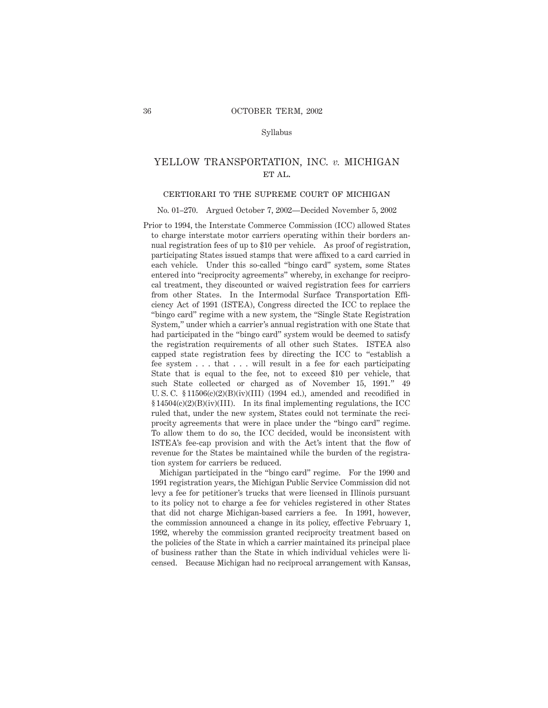#### Syllabus

## YELLOW TRANSPORTATION, INC. *v.* MICHIGAN ET AL.

# certiorari to the supreme court of michigan

No. 01–270. Argued October 7, 2002—Decided November 5, 2002

Prior to 1994, the Interstate Commerce Commission (ICC) allowed States to charge interstate motor carriers operating within their borders annual registration fees of up to \$10 per vehicle. As proof of registration, participating States issued stamps that were affixed to a card carried in each vehicle. Under this so-called "bingo card" system, some States entered into "reciprocity agreements" whereby, in exchange for reciprocal treatment, they discounted or waived registration fees for carriers from other States. In the Intermodal Surface Transportation Efficiency Act of 1991 (ISTEA), Congress directed the ICC to replace the "bingo card" regime with a new system, the "Single State Registration System," under which a carrier's annual registration with one State that had participated in the "bingo card" system would be deemed to satisfy the registration requirements of all other such States. ISTEA also capped state registration fees by directing the ICC to "establish a fee system . . . that . . . will result in a fee for each participating State that is equal to the fee, not to exceed \$10 per vehicle, that such State collected or charged as of November 15, 1991." 49 U. S. C.  $$11506(c)(2)(B)(iv)(III)$  (1994 ed.), amended and recodified in  $§ 14504(c)(2)(B)(iv)(III)$ . In its final implementing regulations, the ICC ruled that, under the new system, States could not terminate the reciprocity agreements that were in place under the "bingo card" regime. To allow them to do so, the ICC decided, would be inconsistent with ISTEA's fee-cap provision and with the Act's intent that the flow of revenue for the States be maintained while the burden of the registration system for carriers be reduced.

Michigan participated in the "bingo card" regime. For the 1990 and 1991 registration years, the Michigan Public Service Commission did not levy a fee for petitioner's trucks that were licensed in Illinois pursuant to its policy not to charge a fee for vehicles registered in other States that did not charge Michigan-based carriers a fee. In 1991, however, the commission announced a change in its policy, effective February 1, 1992, whereby the commission granted reciprocity treatment based on the policies of the State in which a carrier maintained its principal place of business rather than the State in which individual vehicles were licensed. Because Michigan had no reciprocal arrangement with Kansas,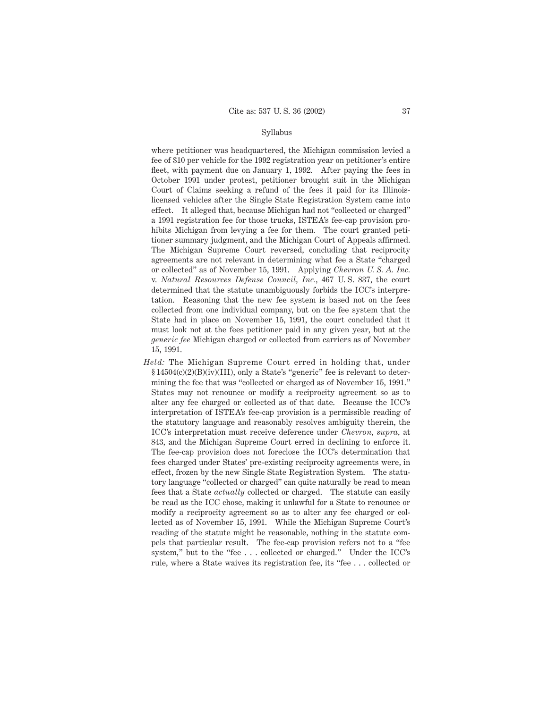#### Syllabus

where petitioner was headquartered, the Michigan commission levied a fee of \$10 per vehicle for the 1992 registration year on petitioner's entire fleet, with payment due on January 1, 1992. After paying the fees in October 1991 under protest, petitioner brought suit in the Michigan Court of Claims seeking a refund of the fees it paid for its Illinoislicensed vehicles after the Single State Registration System came into effect. It alleged that, because Michigan had not "collected or charged" a 1991 registration fee for those trucks, ISTEA's fee-cap provision prohibits Michigan from levying a fee for them. The court granted petitioner summary judgment, and the Michigan Court of Appeals affirmed. The Michigan Supreme Court reversed, concluding that reciprocity agreements are not relevant in determining what fee a State "charged or collected" as of November 15, 1991. Applying *Chevron U. S. A. Inc.* v. *Natural Resources Defense Council, Inc.,* 467 U. S. 837, the court determined that the statute unambiguously forbids the ICC's interpretation. Reasoning that the new fee system is based not on the fees collected from one individual company, but on the fee system that the State had in place on November 15, 1991, the court concluded that it must look not at the fees petitioner paid in any given year, but at the *generic fee* Michigan charged or collected from carriers as of November 15, 1991.

*Held:* The Michigan Supreme Court erred in holding that, under § 14504(c)(2)(B)(iv)(III), only a State's "generic" fee is relevant to determining the fee that was "collected or charged as of November 15, 1991." States may not renounce or modify a reciprocity agreement so as to alter any fee charged or collected as of that date. Because the ICC's interpretation of ISTEA's fee-cap provision is a permissible reading of the statutory language and reasonably resolves ambiguity therein, the ICC's interpretation must receive deference under *Chevron, supra,* at 843, and the Michigan Supreme Court erred in declining to enforce it. The fee-cap provision does not foreclose the ICC's determination that fees charged under States' pre-existing reciprocity agreements were, in effect, frozen by the new Single State Registration System. The statutory language "collected or charged" can quite naturally be read to mean fees that a State *actually* collected or charged. The statute can easily be read as the ICC chose, making it unlawful for a State to renounce or modify a reciprocity agreement so as to alter any fee charged or collected as of November 15, 1991. While the Michigan Supreme Court's reading of the statute might be reasonable, nothing in the statute compels that particular result. The fee-cap provision refers not to a "fee system," but to the "fee . . . collected or charged." Under the ICC's rule, where a State waives its registration fee, its "fee . . . collected or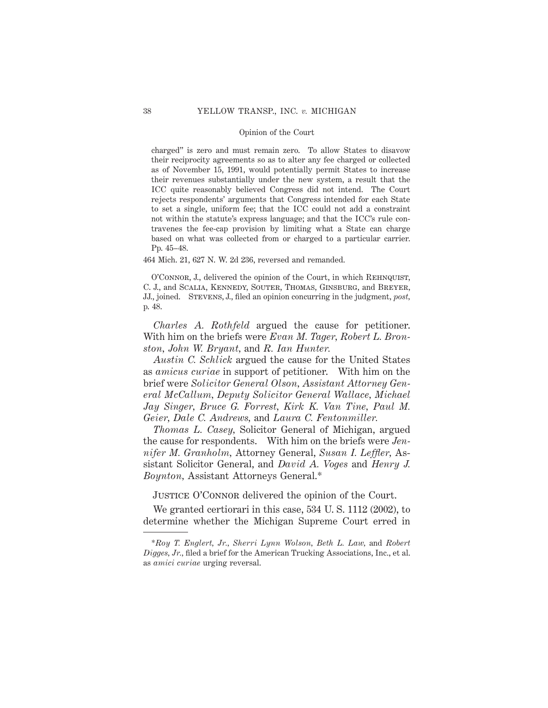charged" is zero and must remain zero. To allow States to disavow their reciprocity agreements so as to alter any fee charged or collected as of November 15, 1991, would potentially permit States to increase their revenues substantially under the new system, a result that the ICC quite reasonably believed Congress did not intend. The Court rejects respondents' arguments that Congress intended for each State to set a single, uniform fee; that the ICC could not add a constraint not within the statute's express language; and that the ICC's rule contravenes the fee-cap provision by limiting what a State can charge based on what was collected from or charged to a particular carrier. Pp. 45–48.

464 Mich. 21, 627 N. W. 2d 236, reversed and remanded.

O'Connor, J., delivered the opinion of the Court, in which Rehnquist, C. J., and Scalia, Kennedy, Souter, Thomas, Ginsburg, and Breyer, JJ., joined. Stevens, J., filed an opinion concurring in the judgment, *post,* p. 48.

*Charles A. Rothfeld* argued the cause for petitioner. With him on the briefs were *Evan M. Tager, Robert L. Bronston, John W. Bryant,* and *R. Ian Hunter.*

*Austin C. Schlick* argued the cause for the United States as *amicus curiae* in support of petitioner. With him on the brief were *Solicitor General Olson, Assistant Attorney General McCallum, Deputy Solicitor General Wallace, Michael Jay Singer, Bruce G. Forrest, Kirk K. Van Tine, Paul M. Geier, Dale C. Andrews,* and *Laura C. Fentonmiller.*

*Thomas L. Casey,* Solicitor General of Michigan, argued the cause for respondents. With him on the briefs were *Jennifer M. Granholm,* Attorney General, *Susan I. Leffler,* Assistant Solicitor General, and *David A. Voges* and *Henry J. Boynton,* Assistant Attorneys General.\*

JUSTICE O'CONNOR delivered the opinion of the Court.

We granted certiorari in this case, 534 U. S. 1112 (2002), to determine whether the Michigan Supreme Court erred in

<sup>\*</sup>*Roy T. Englert, Jr., Sherri Lynn Wolson, Beth L. Law,* and *Robert Digges, Jr.,* filed a brief for the American Trucking Associations, Inc., et al. as *amici curiae* urging reversal.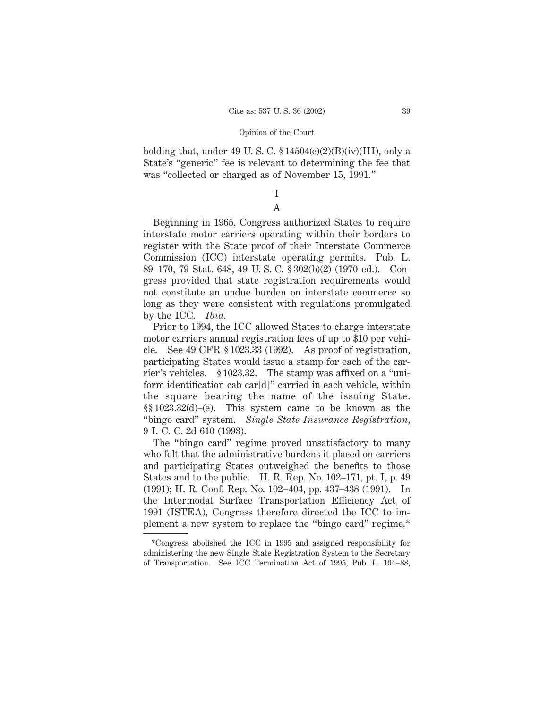holding that, under 49 U.S.C.  $\frac{14504(c)(2)(B)(iv)(III)}{111}$ , only a State's "generic" fee is relevant to determining the fee that was "collected or charged as of November 15, 1991."

# I

## A

Beginning in 1965, Congress authorized States to require interstate motor carriers operating within their borders to register with the State proof of their Interstate Commerce Commission (ICC) interstate operating permits. Pub. L. 89–170, 79 Stat. 648, 49 U. S. C. § 302(b)(2) (1970 ed.). Congress provided that state registration requirements would not constitute an undue burden on interstate commerce so long as they were consistent with regulations promulgated by the ICC. *Ibid.*

Prior to 1994, the ICC allowed States to charge interstate motor carriers annual registration fees of up to \$10 per vehicle. See 49 CFR § 1023.33 (1992). As proof of registration, participating States would issue a stamp for each of the carrier's vehicles. § 1023.32. The stamp was affixed on a "uniform identification cab car[d]" carried in each vehicle, within the square bearing the name of the issuing State. §§ 1023.32(d)–(e). This system came to be known as the "bingo card" system. *Single State Insurance Registration,* 9 I. C. C. 2d 610 (1993).

The "bingo card" regime proved unsatisfactory to many who felt that the administrative burdens it placed on carriers and participating States outweighed the benefits to those States and to the public. H. R. Rep. No. 102–171, pt. I, p. 49 (1991); H. R. Conf. Rep. No. 102–404, pp. 437–438 (1991). In the Intermodal Surface Transportation Efficiency Act of 1991 (ISTEA), Congress therefore directed the ICC to implement a new system to replace the "bingo card" regime.\*

<sup>\*</sup>Congress abolished the ICC in 1995 and assigned responsibility for administering the new Single State Registration System to the Secretary of Transportation. See ICC Termination Act of 1995, Pub. L. 104–88,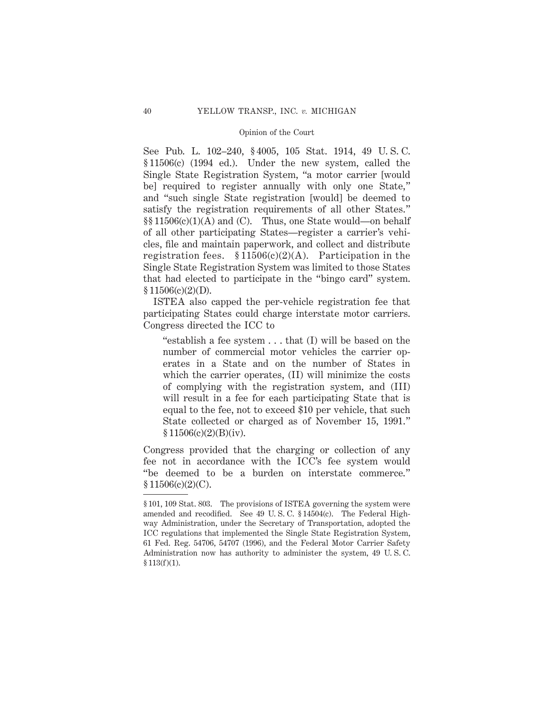See Pub. L. 102–240, § 4005, 105 Stat. 1914, 49 U. S. C. § 11506(c) (1994 ed.). Under the new system, called the Single State Registration System, "a motor carrier [would be] required to register annually with only one State," and "such single State registration [would] be deemed to satisfy the registration requirements of all other States." §§ 11506(c)(1)(A) and (C). Thus, one State would—on behalf of all other participating States—register a carrier's vehicles, file and maintain paperwork, and collect and distribute registration fees.  $$11506(c)(2)(A)$ . Participation in the Single State Registration System was limited to those States that had elected to participate in the "bingo card" system. § 11506(c)(2)(D).

ISTEA also capped the per-vehicle registration fee that participating States could charge interstate motor carriers. Congress directed the ICC to

"establish a fee system . . . that (I) will be based on the number of commercial motor vehicles the carrier operates in a State and on the number of States in which the carrier operates, (II) will minimize the costs of complying with the registration system, and (III) will result in a fee for each participating State that is equal to the fee, not to exceed \$10 per vehicle, that such State collected or charged as of November 15, 1991."  $§ 11506(c)(2)(B)(iv).$ 

Congress provided that the charging or collection of any fee not in accordance with the ICC's fee system would "be deemed to be a burden on interstate commerce." § 11506(c)(2)(C).

<sup>§ 101, 109</sup> Stat. 803. The provisions of ISTEA governing the system were amended and recodified. See 49 U. S. C. § 14504(c). The Federal Highway Administration, under the Secretary of Transportation, adopted the ICC regulations that implemented the Single State Registration System, 61 Fed. Reg. 54706, 54707 (1996), and the Federal Motor Carrier Safety Administration now has authority to administer the system, 49 U. S. C.  $$113(f)(1).$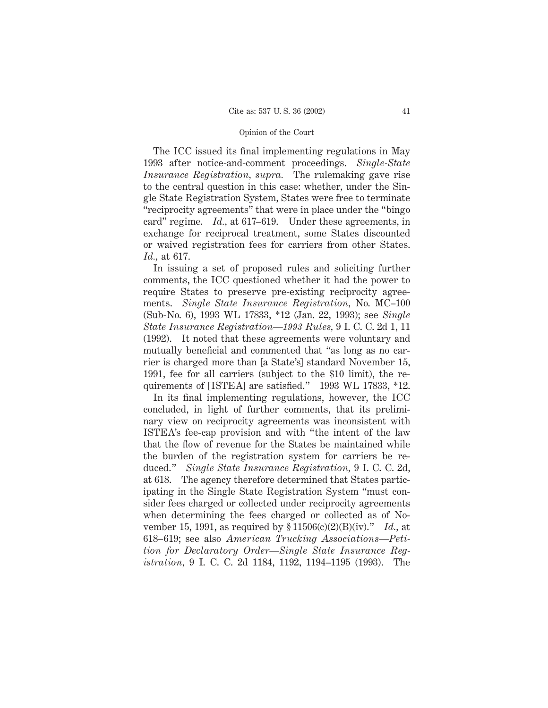The ICC issued its final implementing regulations in May 1993 after notice-and-comment proceedings. *Single-State Insurance Registration, supra.* The rulemaking gave rise to the central question in this case: whether, under the Single State Registration System, States were free to terminate "reciprocity agreements" that were in place under the "bingo card" regime. *Id.,* at 617–619. Under these agreements, in exchange for reciprocal treatment, some States discounted or waived registration fees for carriers from other States. *Id.,* at 617.

In issuing a set of proposed rules and soliciting further comments, the ICC questioned whether it had the power to require States to preserve pre-existing reciprocity agreements. *Single State Insurance Registration,* No. MC–100 (Sub-No. 6), 1993 WL 17833, \*12 (Jan. 22, 1993); see *Single State Insurance Registration—1993 Rules,* 9 I. C. C. 2d 1, 11 (1992). It noted that these agreements were voluntary and mutually beneficial and commented that "as long as no carrier is charged more than [a State's] standard November 15, 1991, fee for all carriers (subject to the \$10 limit), the requirements of [ISTEA] are satisfied." 1993 WL 17833, \*12.

In its final implementing regulations, however, the ICC concluded, in light of further comments, that its preliminary view on reciprocity agreements was inconsistent with ISTEA's fee-cap provision and with "the intent of the law that the flow of revenue for the States be maintained while the burden of the registration system for carriers be reduced." *Single State Insurance Registration,* 9 I. C. C. 2d, at 618. The agency therefore determined that States participating in the Single State Registration System "must consider fees charged or collected under reciprocity agreements when determining the fees charged or collected as of November 15, 1991, as required by § 11506(c)(2)(B)(iv)." *Id.,* at 618–619; see also *American Trucking Associations—Petition for Declaratory Order—Single State Insurance Registration,* 9 I. C. C. 2d 1184, 1192, 1194–1195 (1993). The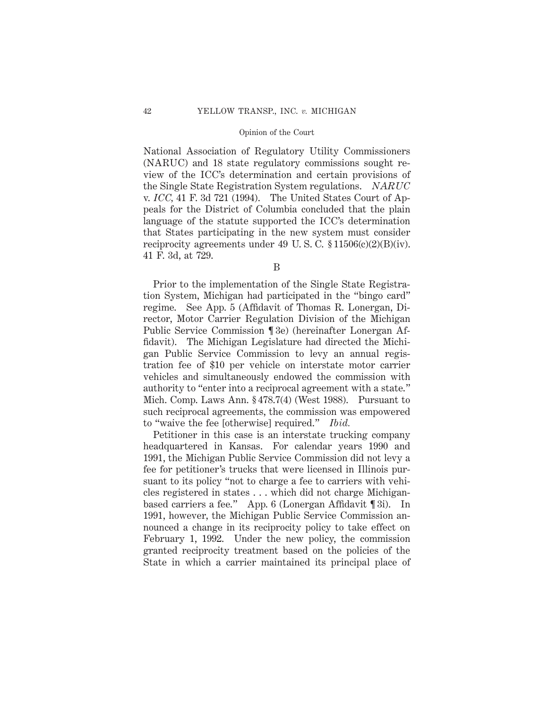National Association of Regulatory Utility Commissioners (NARUC) and 18 state regulatory commissions sought review of the ICC's determination and certain provisions of the Single State Registration System regulations. *NARUC* v. *ICC,* 41 F. 3d 721 (1994). The United States Court of Appeals for the District of Columbia concluded that the plain language of the statute supported the ICC's determination that States participating in the new system must consider reciprocity agreements under 49 U.S.C.  $\frac{11506(c)(2)(B)(iv)}{1150(c)(2)(B)(iv)}$ . 41 F. 3d, at 729.

Prior to the implementation of the Single State Registration System, Michigan had participated in the "bingo card" regime. See App. 5 (Affidavit of Thomas R. Lonergan, Director, Motor Carrier Regulation Division of the Michigan Public Service Commission ¶ 3e) (hereinafter Lonergan Affidavit). The Michigan Legislature had directed the Michigan Public Service Commission to levy an annual registration fee of \$10 per vehicle on interstate motor carrier vehicles and simultaneously endowed the commission with authority to "enter into a reciprocal agreement with a state." Mich. Comp. Laws Ann. § 478.7(4) (West 1988). Pursuant to such reciprocal agreements, the commission was empowered to "waive the fee [otherwise] required." *Ibid.*

Petitioner in this case is an interstate trucking company headquartered in Kansas. For calendar years 1990 and 1991, the Michigan Public Service Commission did not levy a fee for petitioner's trucks that were licensed in Illinois pursuant to its policy "not to charge a fee to carriers with vehicles registered in states . . . which did not charge Michiganbased carriers a fee." App. 6 (Lonergan Affidavit ¶ 3i). In 1991, however, the Michigan Public Service Commission announced a change in its reciprocity policy to take effect on February 1, 1992. Under the new policy, the commission granted reciprocity treatment based on the policies of the State in which a carrier maintained its principal place of

B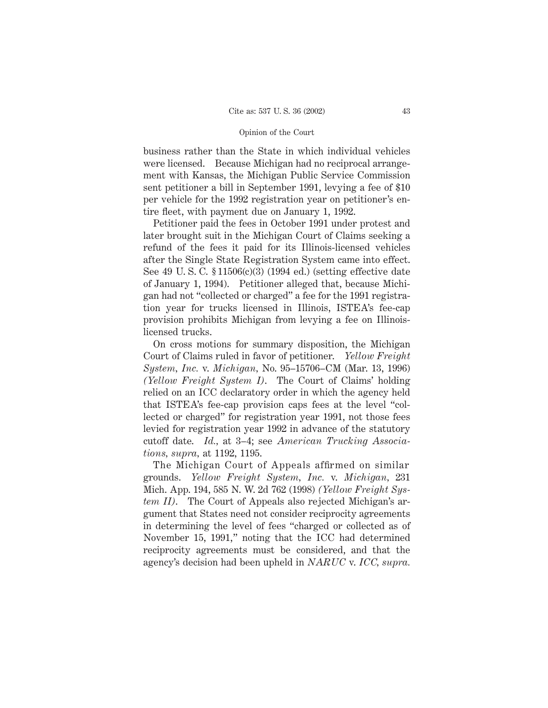business rather than the State in which individual vehicles were licensed. Because Michigan had no reciprocal arrangement with Kansas, the Michigan Public Service Commission sent petitioner a bill in September 1991, levying a fee of \$10 per vehicle for the 1992 registration year on petitioner's entire fleet, with payment due on January 1, 1992.

Petitioner paid the fees in October 1991 under protest and later brought suit in the Michigan Court of Claims seeking a refund of the fees it paid for its Illinois-licensed vehicles after the Single State Registration System came into effect. See 49 U. S. C. § 11506(c)(3) (1994 ed.) (setting effective date of January 1, 1994). Petitioner alleged that, because Michigan had not "collected or charged" a fee for the 1991 registration year for trucks licensed in Illinois, ISTEA's fee-cap provision prohibits Michigan from levying a fee on Illinoislicensed trucks.

On cross motions for summary disposition, the Michigan Court of Claims ruled in favor of petitioner. *Yellow Freight System, Inc.* v. *Michigan,* No. 95–15706–CM (Mar. 13, 1996) *(Yellow Freight System I)*. The Court of Claims' holding relied on an ICC declaratory order in which the agency held that ISTEA's fee-cap provision caps fees at the level "collected or charged" for registration year 1991, not those fees levied for registration year 1992 in advance of the statutory cutoff date. *Id.,* at 3–4; see *American Trucking Associations, supra,* at 1192, 1195.

The Michigan Court of Appeals affirmed on similar grounds. *Yellow Freight System, Inc.* v. *Michigan,* 231 Mich. App. 194, 585 N. W. 2d 762 (1998) *(Yellow Freight System II)*. The Court of Appeals also rejected Michigan's argument that States need not consider reciprocity agreements in determining the level of fees "charged or collected as of November 15, 1991," noting that the ICC had determined reciprocity agreements must be considered, and that the agency's decision had been upheld in *NARUC* v. *ICC, supra.*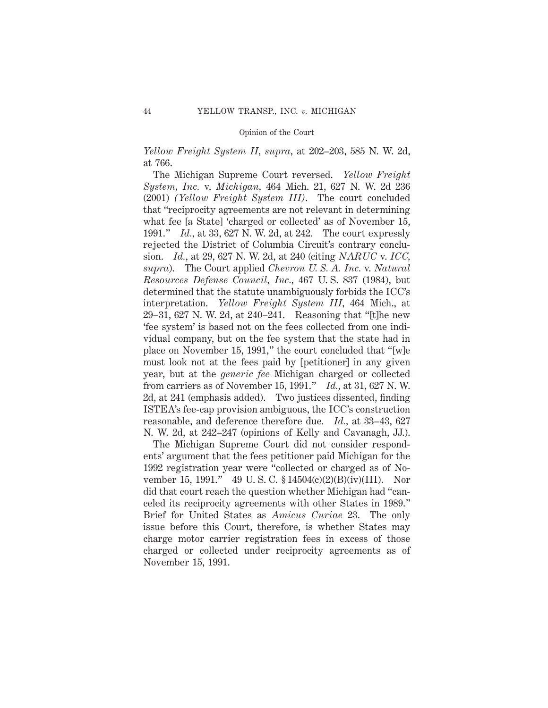*Yellow Freight System II, supra,* at 202–203, 585 N. W. 2d, at 766.

The Michigan Supreme Court reversed. *Yellow Freight System, Inc.* v. *Michigan,* 464 Mich. 21, 627 N. W. 2d 236 (2001) *(Yellow Freight System III)*. The court concluded that "reciprocity agreements are not relevant in determining what fee [a State] 'charged or collected' as of November 15, 1991." *Id.,* at 33, 627 N. W. 2d, at 242. The court expressly rejected the District of Columbia Circuit's contrary conclusion. *Id.*, at 29, 627 N. W. 2d, at 240 (citing *NARUC* v. *ICC, supra*). The Court applied *Chevron U. S. A. Inc.* v. *Natural Resources Defense Council, Inc.,* 467 U. S. 837 (1984), but determined that the statute unambiguously forbids the ICC's interpretation. *Yellow Freight System III,* 464 Mich., at 29–31, 627 N. W. 2d, at 240–241. Reasoning that "[t]he new 'fee system' is based not on the fees collected from one individual company, but on the fee system that the state had in place on November 15, 1991," the court concluded that "[w]e must look not at the fees paid by [petitioner] in any given year, but at the *generic fee* Michigan charged or collected from carriers as of November 15, 1991." *Id.,* at 31, 627 N. W. 2d, at 241 (emphasis added). Two justices dissented, finding ISTEA's fee-cap provision ambiguous, the ICC's construction reasonable, and deference therefore due. *Id.,* at 33–43, 627 N. W. 2d, at 242–247 (opinions of Kelly and Cavanagh, JJ.).

The Michigan Supreme Court did not consider respondents' argument that the fees petitioner paid Michigan for the 1992 registration year were "collected or charged as of November 15, 1991." 49 U. S. C. § 14504(c)(2)(B)(iv)(III). Nor did that court reach the question whether Michigan had "canceled its reciprocity agreements with other States in 1989." Brief for United States as *Amicus Curiae* 23. The only issue before this Court, therefore, is whether States may charge motor carrier registration fees in excess of those charged or collected under reciprocity agreements as of November 15, 1991.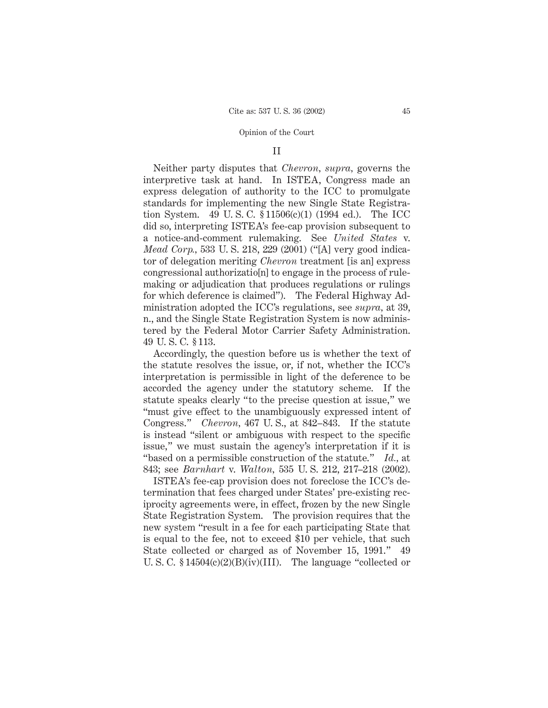#### II

Neither party disputes that *Chevron, supra,* governs the interpretive task at hand. In ISTEA, Congress made an express delegation of authority to the ICC to promulgate standards for implementing the new Single State Registration System. 49 U. S. C. § 11506(c)(1) (1994 ed.). The ICC did so, interpreting ISTEA's fee-cap provision subsequent to a notice-and-comment rulemaking. See *United States* v. *Mead Corp.,* 533 U. S. 218, 229 (2001) ("[A] very good indicator of delegation meriting *Chevron* treatment [is an] express congressional authorizatio[n] to engage in the process of rulemaking or adjudication that produces regulations or rulings for which deference is claimed"). The Federal Highway Administration adopted the ICC's regulations, see *supra,* at 39, n., and the Single State Registration System is now administered by the Federal Motor Carrier Safety Administration. 49 U. S. C. § 113.

Accordingly, the question before us is whether the text of the statute resolves the issue, or, if not, whether the ICC's interpretation is permissible in light of the deference to be accorded the agency under the statutory scheme. If the statute speaks clearly "to the precise question at issue," we "must give effect to the unambiguously expressed intent of Congress." *Chevron,* 467 U. S., at 842–843. If the statute is instead "silent or ambiguous with respect to the specific issue," we must sustain the agency's interpretation if it is "based on a permissible construction of the statute." *Id.,* at 843; see *Barnhart* v. *Walton,* 535 U. S. 212, 217–218 (2002).

ISTEA's fee-cap provision does not foreclose the ICC's determination that fees charged under States' pre-existing reciprocity agreements were, in effect, frozen by the new Single State Registration System. The provision requires that the new system "result in a fee for each participating State that is equal to the fee, not to exceed \$10 per vehicle, that such State collected or charged as of November 15, 1991." 49 U. S. C. § 14504(c)(2)(B)(iv)(III). The language "collected or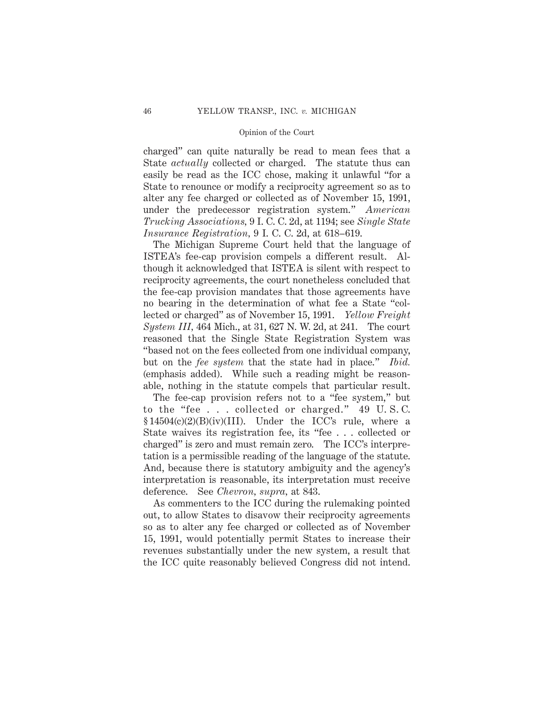charged" can quite naturally be read to mean fees that a State *actually* collected or charged. The statute thus can easily be read as the ICC chose, making it unlawful "for a State to renounce or modify a reciprocity agreement so as to alter any fee charged or collected as of November 15, 1991, under the predecessor registration system." *American Trucking Associations,* 9 I. C. C. 2d, at 1194; see *Single State Insurance Registration,* 9 I. C. C. 2d, at 618–619.

The Michigan Supreme Court held that the language of ISTEA's fee-cap provision compels a different result. Although it acknowledged that ISTEA is silent with respect to reciprocity agreements, the court nonetheless concluded that the fee-cap provision mandates that those agreements have no bearing in the determination of what fee a State "collected or charged" as of November 15, 1991. *Yellow Freight System III,* 464 Mich., at 31, 627 N. W. 2d, at 241. The court reasoned that the Single State Registration System was "based not on the fees collected from one individual company, but on the *fee system* that the state had in place." *Ibid.* (emphasis added). While such a reading might be reasonable, nothing in the statute compels that particular result.

The fee-cap provision refers not to a "fee system," but to the "fee . . . collected or charged." 49 U. S. C.  $§ 14504(c)(2)(B)(iv)(III)$ . Under the ICC's rule, where a State waives its registration fee, its "fee . . . collected or charged" is zero and must remain zero. The ICC's interpretation is a permissible reading of the language of the statute. And, because there is statutory ambiguity and the agency's interpretation is reasonable, its interpretation must receive deference. See *Chevron, supra,* at 843.

As commenters to the ICC during the rulemaking pointed out, to allow States to disavow their reciprocity agreements so as to alter any fee charged or collected as of November 15, 1991, would potentially permit States to increase their revenues substantially under the new system, a result that the ICC quite reasonably believed Congress did not intend.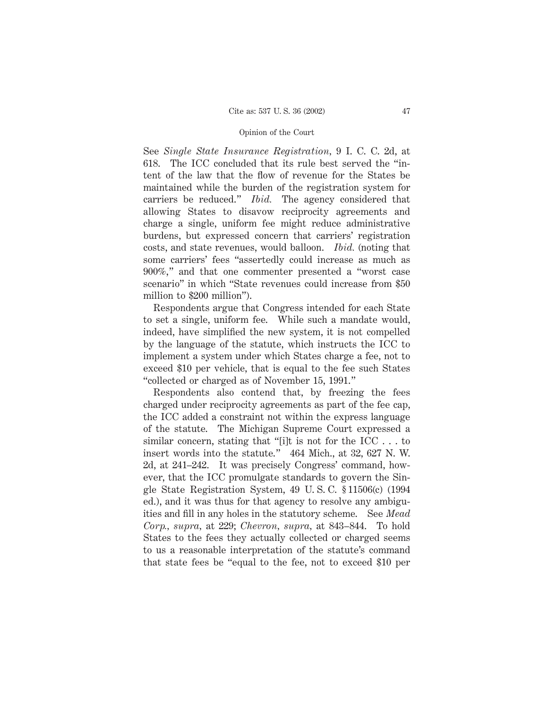See *Single State Insurance Registration,* 9 I. C. C. 2d, at 618. The ICC concluded that its rule best served the "intent of the law that the flow of revenue for the States be maintained while the burden of the registration system for carriers be reduced." *Ibid.* The agency considered that allowing States to disavow reciprocity agreements and charge a single, uniform fee might reduce administrative burdens, but expressed concern that carriers' registration costs, and state revenues, would balloon. *Ibid.* (noting that some carriers' fees "assertedly could increase as much as 900%," and that one commenter presented a "worst case scenario" in which "State revenues could increase from \$50 million to \$200 million").

Respondents argue that Congress intended for each State to set a single, uniform fee. While such a mandate would, indeed, have simplified the new system, it is not compelled by the language of the statute, which instructs the ICC to implement a system under which States charge a fee, not to exceed \$10 per vehicle, that is equal to the fee such States "collected or charged as of November 15, 1991."

Respondents also contend that, by freezing the fees charged under reciprocity agreements as part of the fee cap, the ICC added a constraint not within the express language of the statute. The Michigan Supreme Court expressed a similar concern, stating that "[i]t is not for the ICC . . . to insert words into the statute." 464 Mich., at 32, 627 N. W. 2d, at 241–242. It was precisely Congress' command, however, that the ICC promulgate standards to govern the Single State Registration System, 49 U. S. C. § 11506(c) (1994 ed.), and it was thus for that agency to resolve any ambiguities and fill in any holes in the statutory scheme. See *Mead Corp., supra,* at 229; *Chevron, supra,* at 843–844. To hold States to the fees they actually collected or charged seems to us a reasonable interpretation of the statute's command that state fees be "equal to the fee, not to exceed \$10 per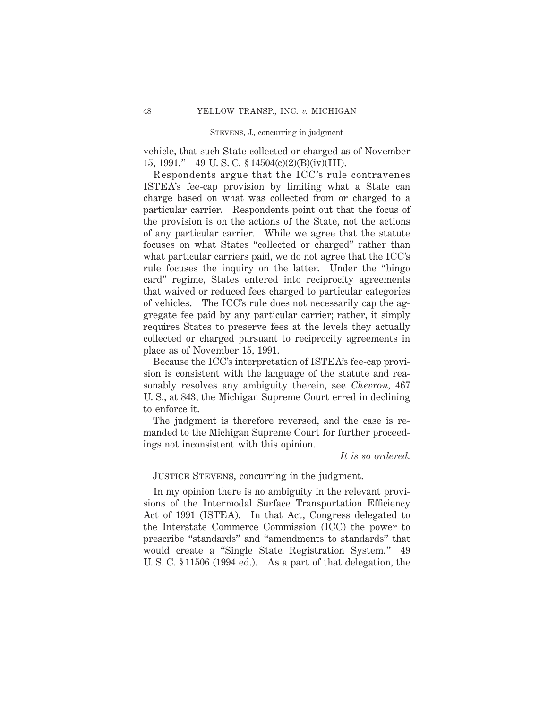### Stevens, J., concurring in judgment

vehicle, that such State collected or charged as of November 15, 1991." 49 U. S. C. § 14504(c)(2)(B)(iv)(III).

Respondents argue that the ICC's rule contravenes ISTEA's fee-cap provision by limiting what a State can charge based on what was collected from or charged to a particular carrier. Respondents point out that the focus of the provision is on the actions of the State, not the actions of any particular carrier. While we agree that the statute focuses on what States "collected or charged" rather than what particular carriers paid, we do not agree that the ICC's rule focuses the inquiry on the latter. Under the "bingo card" regime, States entered into reciprocity agreements that waived or reduced fees charged to particular categories of vehicles. The ICC's rule does not necessarily cap the aggregate fee paid by any particular carrier; rather, it simply requires States to preserve fees at the levels they actually collected or charged pursuant to reciprocity agreements in place as of November 15, 1991.

Because the ICC's interpretation of ISTEA's fee-cap provision is consistent with the language of the statute and reasonably resolves any ambiguity therein, see *Chevron,* 467 U. S., at 843, the Michigan Supreme Court erred in declining to enforce it.

The judgment is therefore reversed, and the case is remanded to the Michigan Supreme Court for further proceedings not inconsistent with this opinion.

*It is so ordered.*

# Justice Stevens, concurring in the judgment.

In my opinion there is no ambiguity in the relevant provisions of the Intermodal Surface Transportation Efficiency Act of 1991 (ISTEA). In that Act, Congress delegated to the Interstate Commerce Commission (ICC) the power to prescribe "standards" and "amendments to standards" that would create a "Single State Registration System." 49 U. S. C. § 11506 (1994 ed.). As a part of that delegation, the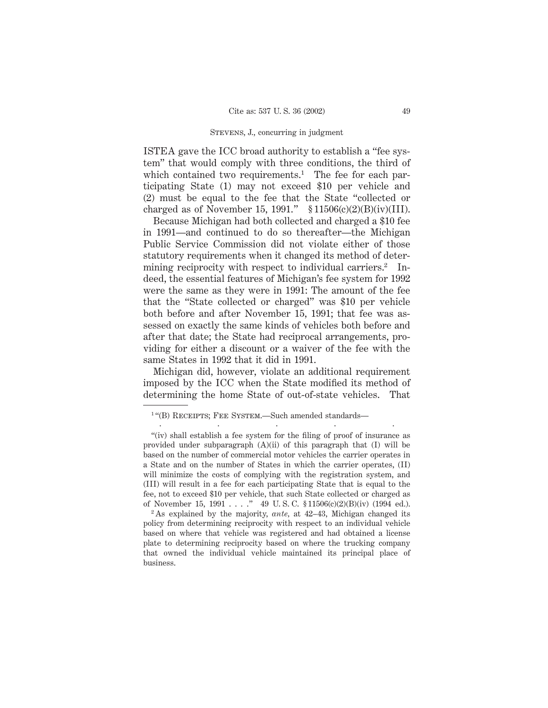### Stevens, J., concurring in judgment

ISTEA gave the ICC broad authority to establish a "fee system" that would comply with three conditions, the third of which contained two requirements.<sup>1</sup> The fee for each participating State (1) may not exceed \$10 per vehicle and (2) must be equal to the fee that the State "collected or charged as of November 15, 1991."  $$11506(c)(2)(B)(iv)(III)$ .

Because Michigan had both collected and charged a \$10 fee in 1991—and continued to do so thereafter—the Michigan Public Service Commission did not violate either of those statutory requirements when it changed its method of determining reciprocity with respect to individual carriers.<sup>2</sup> Indeed, the essential features of Michigan's fee system for 1992 were the same as they were in 1991: The amount of the fee that the "State collected or charged" was \$10 per vehicle both before and after November 15, 1991; that fee was assessed on exactly the same kinds of vehicles both before and after that date; the State had reciprocal arrangements, providing for either a discount or a waiver of the fee with the same States in 1992 that it did in 1991.

Michigan did, however, violate an additional requirement imposed by the ICC when the State modified its method of determining the home State of out-of-state vehicles. That

.....

<sup>&</sup>lt;sup>1</sup>"(B) RECEIPTS: FEE SYSTEM.—Such amended standards—

<sup>&</sup>quot;(iv) shall establish a fee system for the filing of proof of insurance as provided under subparagraph (A)(ii) of this paragraph that (I) will be based on the number of commercial motor vehicles the carrier operates in a State and on the number of States in which the carrier operates, (II) will minimize the costs of complying with the registration system, and (III) will result in a fee for each participating State that is equal to the fee, not to exceed \$10 per vehicle, that such State collected or charged as of November 15, 1991 . . . ." 49 U. S. C. § 11506(c)(2)(B)(iv) (1994 ed.).

<sup>2</sup> As explained by the majority, *ante,* at 42–43, Michigan changed its policy from determining reciprocity with respect to an individual vehicle based on where that vehicle was registered and had obtained a license plate to determining reciprocity based on where the trucking company that owned the individual vehicle maintained its principal place of business.